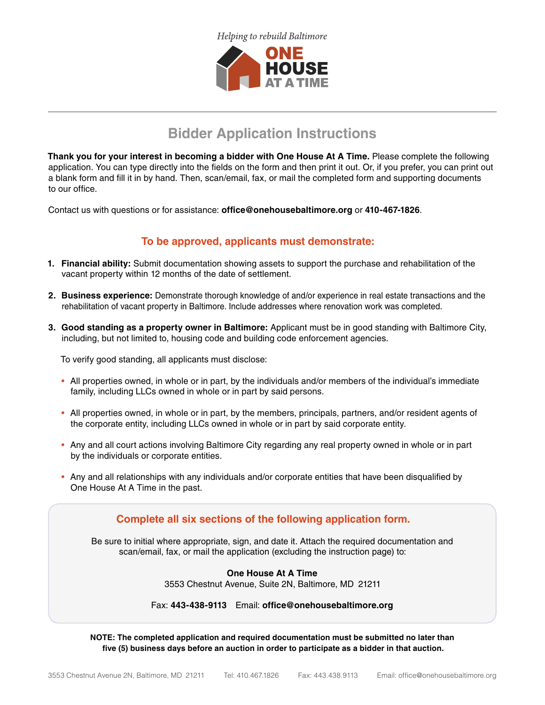

## **Bidder Application Instructions**

**Thank you for your interest in becoming a bidder with One House At A Time.** Please complete the following application. You can type directly into the fields on the form and then print it out. Or, if you prefer, you can print out a blank form and fill it in by hand. Then, scan/email, fax, or mail the completed form and supporting documents to our office.

Contact us with questions or for assistance: **office@onehousebaltimore.org** or **410-467-1826**.

## **To be approved, applicants must demonstrate:**

- **1. Financial ability:** Submit documentation showing assets to support the purchase and rehabilitation of the vacant property within 12 months of the date of settlement.
- **2. Business experience:** Demonstrate thorough knowledge of and/or experience in real estate transactions and the rehabilitation of vacant property in Baltimore. Include addresses where renovation work was completed.
- **3. Good standing as a property owner in Baltimore:** Applicant must be in good standing with Baltimore City, including, but not limited to, housing code and building code enforcement agencies.

To verify good standing, all applicants must disclose:

- All properties owned, in whole or in part, by the individuals and/or members of the individual's immediate family, including LLCs owned in whole or in part by said persons.
- All properties owned, in whole or in part, by the members, principals, partners, and/or resident agents of the corporate entity, including LLCs owned in whole or in part by said corporate entity.
- Any and all court actions involving Baltimore City regarding any real property owned in whole or in part by the individuals or corporate entities.
- Any and all relationships with any individuals and/or corporate entities that have been disqualified by One House At A Time in the past.



**NOTE: The completed application and required documentation must be submitted no later than five (5) business days before an auction in order to participate as a bidder in that auction.**